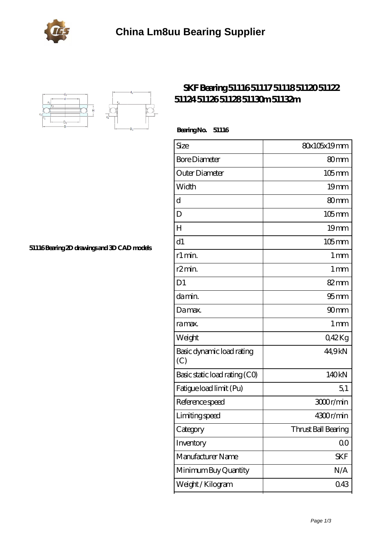



## **[SKF Bearing 51116 51117 51118 51120 51122](https://portalesinmobiliariosinternacionales.com/skf-51116-bearing/) [51124 51126 51128 51130m 51132m](https://portalesinmobiliariosinternacionales.com/skf-51116-bearing/)**

 **Bearing No. 51116**

| Size                             | 80x105x19mm         |
|----------------------------------|---------------------|
| <b>Bore Diameter</b>             | 80mm                |
| Outer Diameter                   | $105$ mm            |
| Width                            | 19 <sub>mm</sub>    |
| d                                | 80mm                |
| D                                | $105$ <sub>mm</sub> |
| H                                | 19 <sub>mm</sub>    |
| d1                               | $105$ mm            |
| r1 min.                          | $1 \,\mathrm{mm}$   |
| r <sub>2</sub> min.              | 1 <sub>mm</sub>     |
| D <sub>1</sub>                   | 82mm                |
| da min.                          | 95 <sub>mm</sub>    |
| Damax.                           | 90 <sub>mm</sub>    |
| ra max.                          | $1 \,\mathrm{mm}$   |
| Weight                           | 042Kg               |
| Basic dynamic load rating<br>(C) | 44,9kN              |
| Basic static load rating (CO)    | 140kN               |
| Fatigue load limit (Pu)          | 5,1                 |
| Reference speed                  | 3000r/min           |
| Limiting speed                   | 4300r/min           |
| Category                         | Thrust Ball Bearing |
| Inventory                        | 0 <sup>0</sup>      |
| Manufacturer Name                | <b>SKF</b>          |
| Minimum Buy Quantity             | N/A                 |
| Weight / Kilogram                | 043                 |

**[51116 Bearing 2D drawings and 3D CAD models](https://portalesinmobiliariosinternacionales.com/pic-667265.html)**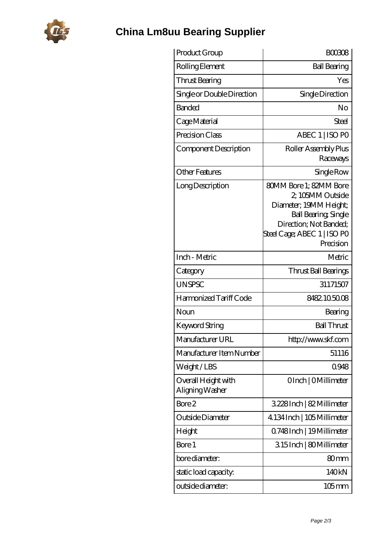

## **[China Lm8uu Bearing Supplier](https://portalesinmobiliariosinternacionales.com)**

| Product Group                          | <b>BOO3O8</b>                                                                                                                                                                    |
|----------------------------------------|----------------------------------------------------------------------------------------------------------------------------------------------------------------------------------|
| Rolling Element                        | <b>Ball Bearing</b>                                                                                                                                                              |
| Thrust Bearing                         | Yes                                                                                                                                                                              |
| Single or Double Direction             | Single Direction                                                                                                                                                                 |
| Banded                                 | No                                                                                                                                                                               |
| Cage Material                          | Steel                                                                                                                                                                            |
| Precision Class                        | ABEC 1   ISO PO                                                                                                                                                                  |
| Component Description                  | Roller Assembly Plus<br>Raceways                                                                                                                                                 |
| <b>Other Features</b>                  | Single Row                                                                                                                                                                       |
| Long Description                       | <b>80MM Bore 1: 82MM Bore</b><br>2, 105MM Outside<br>Diameter; 19MM Height;<br><b>Ball Bearing, Single</b><br>Direction; Not Banded;<br>Steel Cage; ABEC 1   ISO PO<br>Precision |
| Inch - Metric                          | Metric                                                                                                                                                                           |
| Category                               | Thrust Ball Bearings                                                                                                                                                             |
| <b>UNSPSC</b>                          | 31171507                                                                                                                                                                         |
| Harmonized Tariff Code                 | 8482105008                                                                                                                                                                       |
| Noun                                   | Bearing                                                                                                                                                                          |
| <b>Keyword String</b>                  | <b>Ball Thrust</b>                                                                                                                                                               |
| Manufacturer URL                       | http://www.skf.com                                                                                                                                                               |
| Manufacturer Item Number               | 51116                                                                                                                                                                            |
| Weight/LBS                             | 0948                                                                                                                                                                             |
| Overall Height with<br>Aligning Washer | OInch   OMillimeter                                                                                                                                                              |
| Bore 2                                 | 3.228Inch   82 Millimeter                                                                                                                                                        |
| Outside Diameter                       | 4.134 Inch   105 Millimeter                                                                                                                                                      |
| Height                                 | Q748Inch   19Millimeter                                                                                                                                                          |
| Bore 1                                 | 315Inch   80Millimeter                                                                                                                                                           |
| bore diameter:                         | 80 <sub>mm</sub>                                                                                                                                                                 |
| static load capacity.                  | 140kN                                                                                                                                                                            |
| outside diameter:                      | 105 mm                                                                                                                                                                           |